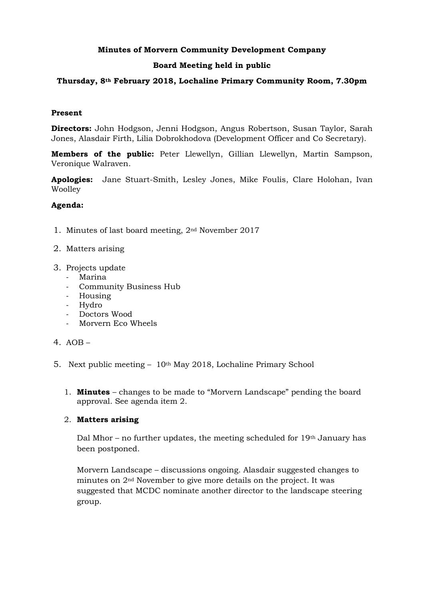# **Minutes of Morvern Community Development Company**

### **Board Meeting held in public**

#### **Thursday, 8th February 2018, Lochaline Primary Community Room, 7.30pm**

### **Present**

**Directors:** John Hodgson, Jenni Hodgson, Angus Robertson, Susan Taylor, Sarah Jones, Alasdair Firth, Lilia Dobrokhodova (Development Officer and Co Secretary).

**Members of the public:** Peter Llewellyn, Gillian Llewellyn, Martin Sampson, Veronique Walraven.

**Apologies:** Jane Stuart-Smith, Lesley Jones, Mike Foulis, Clare Holohan, Ivan Woolley

#### **Agenda:**

- 1. Minutes of last board meeting, 2nd November 2017
- 2. Matters arising
- 3. Projects update
	- Marina
	- Community Business Hub
	- Housing
	- Hydro
	- Doctors Wood
	- Morvern Eco Wheels
- 4. AOB –
- 5. Next public meeting 10th May 2018, Lochaline Primary School
	- 1. **Minutes** changes to be made to "Morvern Landscape" pending the board approval. See agenda item 2.

#### 2. **Matters arising**

Dal Mhor – no further updates, the meeting scheduled for  $19<sup>th</sup>$  January has been postponed.

Morvern Landscape – discussions ongoing. Alasdair suggested changes to minutes on 2nd November to give more details on the project. It was suggested that MCDC nominate another director to the landscape steering group.